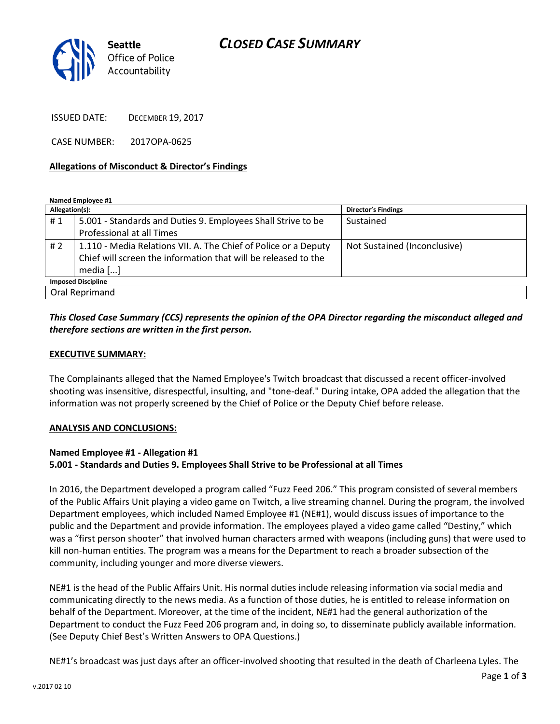## *CLOSED CASE SUMMARY*



ISSUED DATE: DECEMBER 19, 2017

CASE NUMBER: 2017OPA-0625

#### **Allegations of Misconduct & Director's Findings**

**Named Employee #1**

| Allegation(s):            |                                                                 | <b>Director's Findings</b>   |
|---------------------------|-----------------------------------------------------------------|------------------------------|
| #1                        | 5.001 - Standards and Duties 9. Employees Shall Strive to be    | Sustained                    |
|                           | Professional at all Times                                       |                              |
| #2                        | 1.110 - Media Relations VII. A. The Chief of Police or a Deputy | Not Sustained (Inconclusive) |
|                           | Chief will screen the information that will be released to the  |                              |
|                           | media $[]$                                                      |                              |
| <b>Imposed Discipline</b> |                                                                 |                              |
| Oral Reprimand            |                                                                 |                              |

## *This Closed Case Summary (CCS) represents the opinion of the OPA Director regarding the misconduct alleged and therefore sections are written in the first person.*

#### **EXECUTIVE SUMMARY:**

The Complainants alleged that the Named Employee's Twitch broadcast that discussed a recent officer-involved shooting was insensitive, disrespectful, insulting, and "tone-deaf." During intake, OPA added the allegation that the information was not properly screened by the Chief of Police or the Deputy Chief before release.

#### **ANALYSIS AND CONCLUSIONS:**

#### **Named Employee #1 - Allegation #1 5.001 - Standards and Duties 9. Employees Shall Strive to be Professional at all Times**

In 2016, the Department developed a program called "Fuzz Feed 206." This program consisted of several members of the Public Affairs Unit playing a video game on Twitch, a live streaming channel. During the program, the involved Department employees, which included Named Employee #1 (NE#1), would discuss issues of importance to the public and the Department and provide information. The employees played a video game called "Destiny," which was a "first person shooter" that involved human characters armed with weapons (including guns) that were used to kill non-human entities. The program was a means for the Department to reach a broader subsection of the community, including younger and more diverse viewers.

NE#1 is the head of the Public Affairs Unit. His normal duties include releasing information via social media and communicating directly to the news media. As a function of those duties, he is entitled to release information on behalf of the Department. Moreover, at the time of the incident, NE#1 had the general authorization of the Department to conduct the Fuzz Feed 206 program and, in doing so, to disseminate publicly available information. (See Deputy Chief Best's Written Answers to OPA Questions.)

NE#1's broadcast was just days after an officer-involved shooting that resulted in the death of Charleena Lyles. The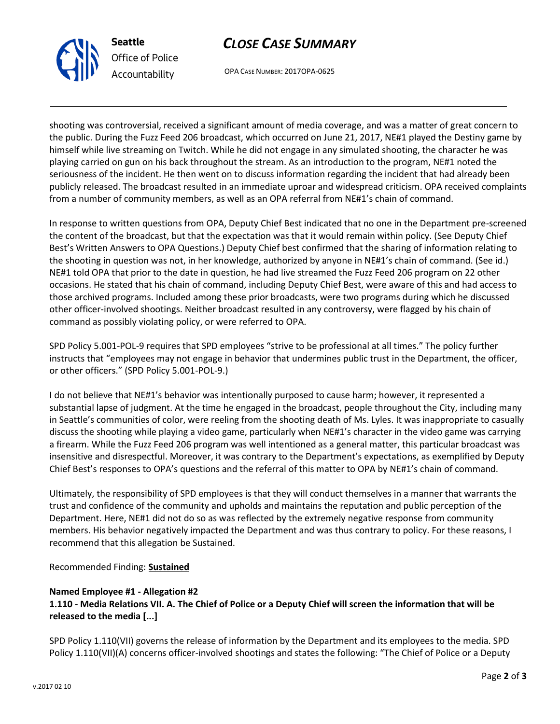



OPA CASE NUMBER: 2017OPA-0625

shooting was controversial, received a significant amount of media coverage, and was a matter of great concern to the public. During the Fuzz Feed 206 broadcast, which occurred on June 21, 2017, NE#1 played the Destiny game by himself while live streaming on Twitch. While he did not engage in any simulated shooting, the character he was playing carried on gun on his back throughout the stream. As an introduction to the program, NE#1 noted the seriousness of the incident. He then went on to discuss information regarding the incident that had already been publicly released. The broadcast resulted in an immediate uproar and widespread criticism. OPA received complaints from a number of community members, as well as an OPA referral from NE#1's chain of command.

In response to written questions from OPA, Deputy Chief Best indicated that no one in the Department pre-screened the content of the broadcast, but that the expectation was that it would remain within policy. (See Deputy Chief Best's Written Answers to OPA Questions.) Deputy Chief best confirmed that the sharing of information relating to the shooting in question was not, in her knowledge, authorized by anyone in NE#1's chain of command. (See id.) NE#1 told OPA that prior to the date in question, he had live streamed the Fuzz Feed 206 program on 22 other occasions. He stated that his chain of command, including Deputy Chief Best, were aware of this and had access to those archived programs. Included among these prior broadcasts, were two programs during which he discussed other officer-involved shootings. Neither broadcast resulted in any controversy, were flagged by his chain of command as possibly violating policy, or were referred to OPA.

SPD Policy 5.001-POL-9 requires that SPD employees "strive to be professional at all times." The policy further instructs that "employees may not engage in behavior that undermines public trust in the Department, the officer, or other officers." (SPD Policy 5.001-POL-9.)

I do not believe that NE#1's behavior was intentionally purposed to cause harm; however, it represented a substantial lapse of judgment. At the time he engaged in the broadcast, people throughout the City, including many in Seattle's communities of color, were reeling from the shooting death of Ms. Lyles. It was inappropriate to casually discuss the shooting while playing a video game, particularly when NE#1's character in the video game was carrying a firearm. While the Fuzz Feed 206 program was well intentioned as a general matter, this particular broadcast was insensitive and disrespectful. Moreover, it was contrary to the Department's expectations, as exemplified by Deputy Chief Best's responses to OPA's questions and the referral of this matter to OPA by NE#1's chain of command.

Ultimately, the responsibility of SPD employees is that they will conduct themselves in a manner that warrants the trust and confidence of the community and upholds and maintains the reputation and public perception of the Department. Here, NE#1 did not do so as was reflected by the extremely negative response from community members. His behavior negatively impacted the Department and was thus contrary to policy. For these reasons, I recommend that this allegation be Sustained.

## Recommended Finding: **Sustained**

## **Named Employee #1 - Allegation #2**

**1.110 - Media Relations VII. A. The Chief of Police or a Deputy Chief will screen the information that will be released to the media [...]**

SPD Policy 1.110(VII) governs the release of information by the Department and its employees to the media. SPD Policy 1.110(VII)(A) concerns officer-involved shootings and states the following: "The Chief of Police or a Deputy